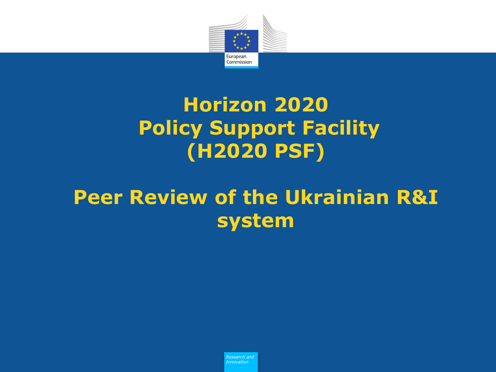

### **Horizon 2020 Policy Support Facility (H2020 PSF)**

## **Peer Review of the Ukrainian R&I system**

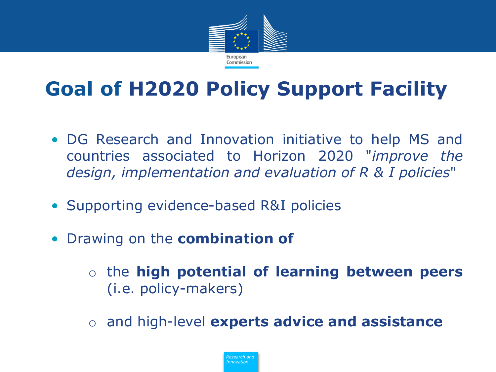

# **Goal of H2020 Policy Support Facility**

- DG Research and Innovation initiative to help MS and countries associated to Horizon 2020 "*improve the design, implementation and evaluation of R & I policies*"
- Supporting evidence-based R&I policies
- Drawing on the **combination of**
	- o the **high potential of learning between peers** (i.e. policy-makers)
	- o and high-level **experts advice and assistance**

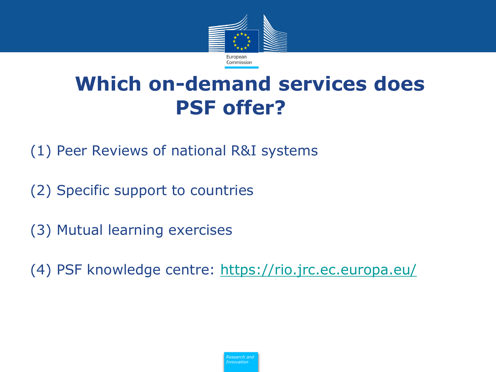

## **Which on-demand services does PSF offer?**

(1) Peer Reviews of national R&I systems

- (2) Specific support to countries
- (3) Mutual learning exercises

(4) PSF knowledge centre: <https://rio.jrc.ec.europa.eu/>

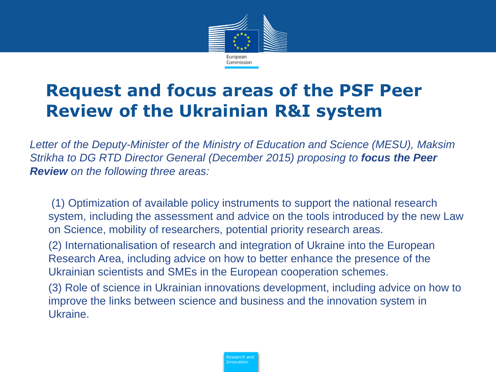

### **Request and focus areas of the PSF Peer Review of the Ukrainian R&I system**

*Letter of the Deputy-Minister of the Ministry of Education and Science (MESU), Maksim Strikha to DG RTD Director General (December 2015) proposing to focus the Peer Review on the following three areas:*

• (1) Optimization of available policy instruments to support the national research system, including the assessment and advice on the tools introduced by the new Law on Science, mobility of researchers, potential priority research areas.

• (2) Internationalisation of research and integration of Ukraine into the European Research Area, including advice on how to better enhance the presence of the Ukrainian scientists and SMEs in the European cooperation schemes.

• (3) Role of science in Ukrainian innovations development, including advice on how to improve the links between science and business and the innovation system in Ukraine.

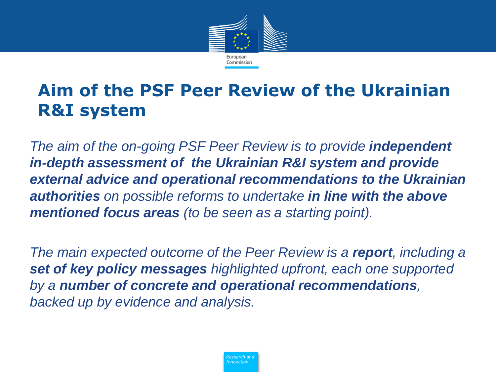

### **Aim of the PSF Peer Review of the Ukrainian R&I system**

*The aim of the on-going PSF Peer Review is to provide independent in-depth assessment of the Ukrainian R&I system and provide external advice and operational recommendations to the Ukrainian authorities on possible reforms to undertake in line with the above mentioned focus areas (to be seen as a starting point).*

*The main expected outcome of the Peer Review is a report, including a set of key policy messages highlighted upfront, each one supported by a number of concrete and operational recommendations, backed up by evidence and analysis.*

> *Policy Research and Innovation*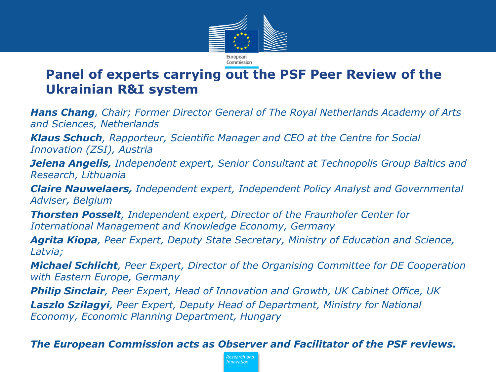

### **Panel of experts carrying out the PSF Peer Review of the Ukrainian R&I system**

*Hans Chang, Chair; Former Director General of The Royal Netherlands Academy of Arts and Sciences, Netherlands*

*Klaus Schuch, Rapporteur, Scientific Manager and CEO at the Centre for Social Innovation (ZSI), Austria*

*Jelena Angelis, Independent expert, Senior Consultant at Technopolis Group Baltics and Research, Lithuania*

*Claire Nauwelaers, Independent expert, Independent Policy Analyst and Governmental Adviser, Belgium*

*Thorsten Posselt, Independent expert, Director of the Fraunhofer Center for International Management and Knowledge Economy, Germany*

*Agrita Kiopa, Peer Expert, Deputy State Secretary, Ministry of Education and Science, Latvia;* 

*Michael Schlicht, Peer Expert, Director of the Organising Committee for DE Cooperation with Eastern Europe, Germany*

*Philip Sinclair, Peer Expert, Head of Innovation and Growth, UK Cabinet Office, UK Laszlo Szilagyi, Peer Expert, Deputy Head of Department, Ministry for National Economy, Economic Planning Department, Hungary*

#### *The European Commission acts as Observer and Facilitator of the PSF reviews.*

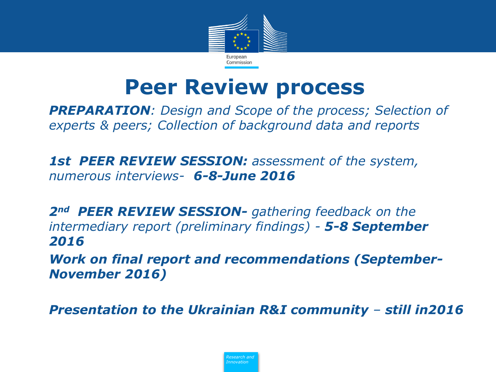

## **Peer Review process**

• *PREPARATION: Design and Scope of the process; Selection of experts & peers; Collection of background data and reports*

• *1st PEER REVIEW SESSION: assessment of the system, numerous interviews- 6-8-June 2016* 

• *2nd PEER REVIEW SESSION- gathering feedback on the intermediary report (preliminary findings) - 5-8 September 2016* 

• *Work on final report and recommendations (September-November 2016)*

• *Presentation to the Ukrainian R&I community – still in2016*

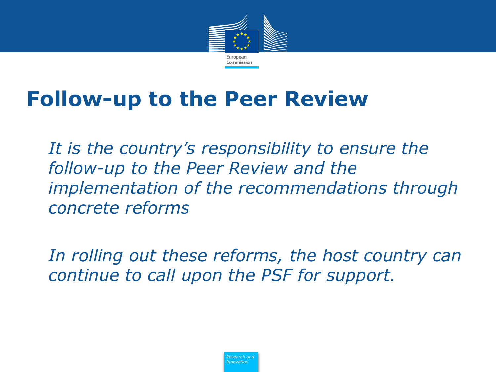

# **Follow-up to the Peer Review**

It is the country's responsibility to ensure the *follow-up to the Peer Review and the implementation of the recommendations through concrete reforms*

• *In rolling out these reforms, the host country can continue to call upon the PSF for support.*